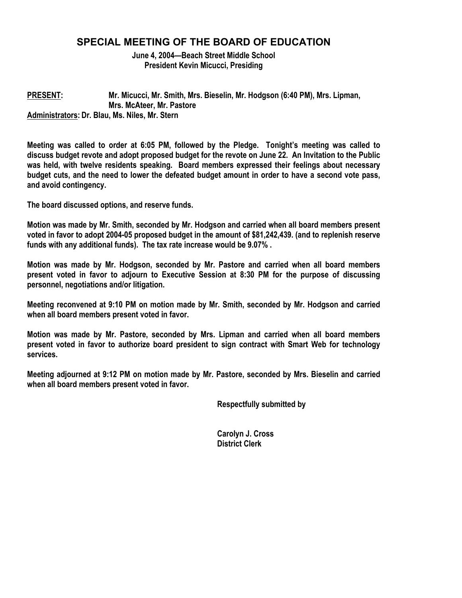# **SPECIAL MEETING OF THE BOARD OF EDUCATION**

**June 4, 2004—Beach Street Middle School President Kevin Micucci, Presiding** 

### **PRESENT: Mr. Micucci, Mr. Smith, Mrs. Bieselin, Mr. Hodgson (6:40 PM), Mrs. Lipman, Mrs. McAteer, Mr. Pastore Administrators: Dr. Blau, Ms. Niles, Mr. Stern**

**Meeting was called to order at 6:05 PM, followed by the Pledge. Tonight's meeting was called to discuss budget revote and adopt proposed budget for the revote on June 22. An Invitation to the Public was held, with twelve residents speaking. Board members expressed their feelings about necessary budget cuts, and the need to lower the defeated budget amount in order to have a second vote pass, and avoid contingency.** 

**The board discussed options, and reserve funds.** 

**Motion was made by Mr. Smith, seconded by Mr. Hodgson and carried when all board members present voted in favor to adopt 2004-05 proposed budget in the amount of \$81,242,439. (and to replenish reserve funds with any additional funds). The tax rate increase would be 9.07% .** 

**Motion was made by Mr. Hodgson, seconded by Mr. Pastore and carried when all board members present voted in favor to adjourn to Executive Session at 8:30 PM for the purpose of discussing personnel, negotiations and/or litigation.** 

**Meeting reconvened at 9:10 PM on motion made by Mr. Smith, seconded by Mr. Hodgson and carried when all board members present voted in favor.** 

**Motion was made by Mr. Pastore, seconded by Mrs. Lipman and carried when all board members present voted in favor to authorize board president to sign contract with Smart Web for technology services.** 

**Meeting adjourned at 9:12 PM on motion made by Mr. Pastore, seconded by Mrs. Bieselin and carried when all board members present voted in favor.** 

 **Respectfully submitted by** 

 **Carolyn J. Cross District Clerk**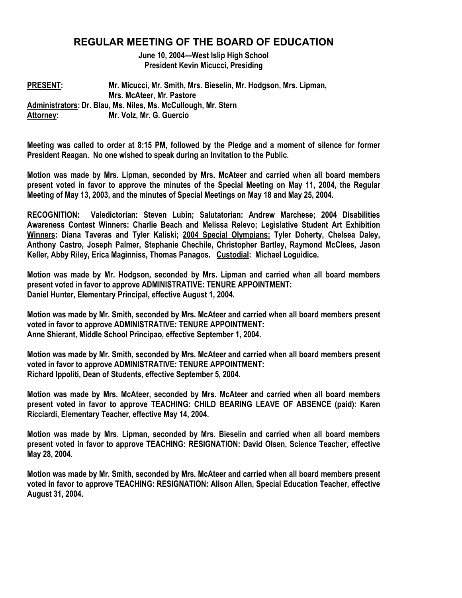# **REGULAR MEETING OF THE BOARD OF EDUCATION**

**June 10, 2004—West Islip High School President Kevin Micucci, Presiding** 

**PRESENT: Mr. Micucci, Mr. Smith, Mrs. Bieselin, Mr. Hodgson, Mrs. Lipman, Mrs. McAteer, Mr. Pastore Administrators: Dr. Blau, Ms. Niles, Ms. McCullough, Mr. Stern Attorney: Mr. Volz, Mr. G. Guercio** 

**Meeting was called to order at 8:15 PM, followed by the Pledge and a moment of silence for former President Reagan. No one wished to speak during an Invitation to the Public.** 

**Motion was made by Mrs. Lipman, seconded by Mrs. McAteer and carried when all board members present voted in favor to approve the minutes of the Special Meeting on May 11, 2004, the Regular Meeting of May 13, 2003, and the minutes of Special Meetings on May 18 and May 25, 2004.** 

**RECOGNITION: Valedictorian: Steven Lubin; Salutatorian: Andrew Marchese; 2004 Disabilities Awareness Contest Winners: Charlie Beach and Melissa Relevo; Legislative Student Art Exhibition Winners: Diana Taveras and Tyler Kaliski; 2004 Special Olympians: Tyler Doherty, Chelsea Daley, Anthony Castro, Joseph Palmer, Stephanie Chechile, Christopher Bartley, Raymond McClees, Jason Keller, Abby Riley, Erica Maginniss, Thomas Panagos. Custodial: Michael Loguidice.** 

**Motion was made by Mr. Hodgson, seconded by Mrs. Lipman and carried when all board members present voted in favor to approve ADMINISTRATIVE: TENURE APPOINTMENT: Daniel Hunter, Elementary Principal, effective August 1, 2004.** 

**Motion was made by Mr. Smith, seconded by Mrs. McAteer and carried when all board members present voted in favor to approve ADMINISTRATIVE: TENURE APPOINTMENT: Anne Shierant, Middle School Principao, effective September 1, 2004.** 

**Motion was made by Mr. Smith, seconded by Mrs. McAteer and carried when all board members present voted in favor to approve ADMINISTRATIVE: TENURE APPOINTMENT: Richard Ippoliti, Dean of Students, effective September 5, 2004.** 

**Motion was made by Mrs. McAteer, seconded by Mrs. McAteer and carried when all board members present voted in favor to approve TEACHING: CHILD BEARING LEAVE OF ABSENCE (paid): Karen Ricciardi, Elementary Teacher, effective May 14, 2004.** 

**Motion was made by Mrs. Lipman, seconded by Mrs. Bieselin and carried when all board members present voted in favor to approve TEACHING: RESIGNATION: David Olsen, Science Teacher, effective May 28, 2004.** 

**Motion was made by Mr. Smith, seconded by Mrs. McAteer and carried when all board members present voted in favor to approve TEACHING: RESIGNATION: Alison Allen, Special Education Teacher, effective August 31, 2004.**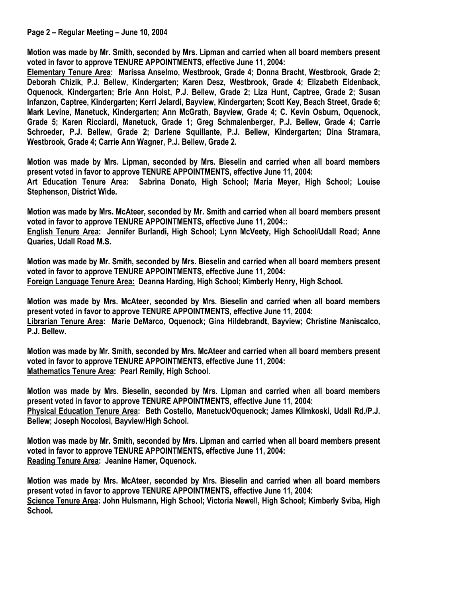**Motion was made by Mr. Smith, seconded by Mrs. Lipman and carried when all board members present voted in favor to approve TENURE APPOINTMENTS, effective June 11, 2004:** 

**Elementary Tenure Area: Marissa Anselmo, Westbrook, Grade 4; Donna Bracht, Westbrook, Grade 2; Deborah Chizik, P.J. Bellew, Kindergarten; Karen Desz, Westbrook, Grade 4; Elizabeth Eidenback, Oquenock, Kindergarten; Brie Ann Holst, P.J. Bellew, Grade 2; Liza Hunt, Captree, Grade 2; Susan Infanzon, Captree, Kindergarten; Kerri Jelardi, Bayview, Kindergarten; Scott Key, Beach Street, Grade 6; Mark Levine, Manetuck, Kindergarten; Ann McGrath, Bayview, Grade 4; C. Kevin Osburn, Oquenock, Grade 5; Karen Ricciardi, Manetuck, Grade 1; Greg Schmalenberger, P.J. Bellew, Grade 4; Carrie Schroeder, P.J. Bellew, Grade 2; Darlene Squillante, P.J. Bellew, Kindergarten; Dina Stramara, Westbrook, Grade 4; Carrie Ann Wagner, P.J. Bellew, Grade 2.** 

**Motion was made by Mrs. Lipman, seconded by Mrs. Bieselin and carried when all board members present voted in favor to approve TENURE APPOINTMENTS, effective June 11, 2004: Art Education Tenure Area: Sabrina Donato, High School; Maria Meyer, High School; Louise Stephenson, District Wide.** 

**Motion was made by Mrs. McAteer, seconded by Mr. Smith and carried when all board members present voted in favor to approve TENURE APPOINTMENTS, effective June 11, 2004::** 

**English Tenure Area: Jennifer Burlandi, High School; Lynn McVeety, High School/Udall Road; Anne Quaries, Udall Road M.S.** 

**Motion was made by Mr. Smith, seconded by Mrs. Bieselin and carried when all board members present voted in favor to approve TENURE APPOINTMENTS, effective June 11, 2004: Foreign Language Tenure Area: Deanna Harding, High School; Kimberly Henry, High School.** 

**Motion was made by Mrs. McAteer, seconded by Mrs. Bieselin and carried when all board members present voted in favor to approve TENURE APPOINTMENTS, effective June 11, 2004: Librarian Tenure Area: Marie DeMarco, Oquenock; Gina Hildebrandt, Bayview; Christine Maniscalco, P.J. Bellew.** 

**Motion was made by Mr. Smith, seconded by Mrs. McAteer and carried when all board members present voted in favor to approve TENURE APPOINTMENTS, effective June 11, 2004: Mathematics Tenure Area: Pearl Remily, High School.** 

**Motion was made by Mrs. Bieselin, seconded by Mrs. Lipman and carried when all board members present voted in favor to approve TENURE APPOINTMENTS, effective June 11, 2004: Physical Education Tenure Area: Beth Costello, Manetuck/Oquenock; James Klimkoski, Udall Rd./P.J. Bellew; Joseph Nocolosi, Bayview/High School.** 

**Motion was made by Mr. Smith, seconded by Mrs. Lipman and carried when all board members present voted in favor to approve TENURE APPOINTMENTS, effective June 11, 2004: Reading Tenure Area: Jeanine Hamer, Oquenock.** 

**Motion was made by Mrs. McAteer, seconded by Mrs. Bieselin and carried when all board members present voted in favor to approve TENURE APPOINTMENTS, effective June 11, 2004: Science Tenure Area: John Hulsmann, High School; Victoria Newell, High School; Kimberly Sviba, High School.**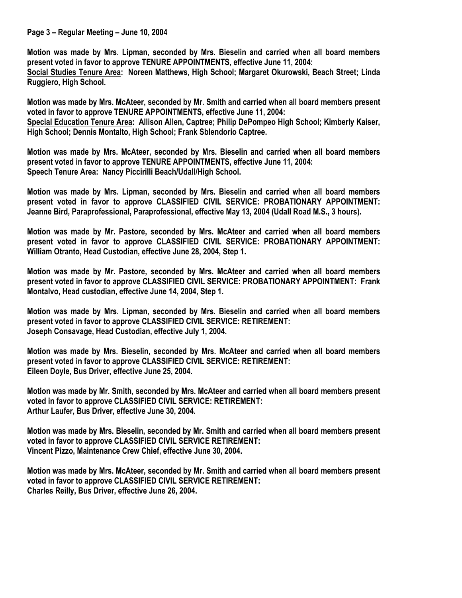#### **Page 3 – Regular Meeting – June 10, 2004**

**Motion was made by Mrs. Lipman, seconded by Mrs. Bieselin and carried when all board members present voted in favor to approve TENURE APPOINTMENTS, effective June 11, 2004:** 

**Social Studies Tenure Area: Noreen Matthews, High School; Margaret Okurowski, Beach Street; Linda Ruggiero, High School.** 

**Motion was made by Mrs. McAteer, seconded by Mr. Smith and carried when all board members present voted in favor to approve TENURE APPOINTMENTS, effective June 11, 2004: Special Education Tenure Area: Allison Allen, Captree; Philip DePompeo High School; Kimberly Kaiser, High School; Dennis Montalto, High School; Frank Sblendorio Captree.** 

**Motion was made by Mrs. McAteer, seconded by Mrs. Bieselin and carried when all board members present voted in favor to approve TENURE APPOINTMENTS, effective June 11, 2004: Speech Tenure Area: Nancy Piccirilli Beach/Udall/High School.** 

**Motion was made by Mrs. Lipman, seconded by Mrs. Bieselin and carried when all board members present voted in favor to approve CLASSIFIED CIVIL SERVICE: PROBATIONARY APPOINTMENT: Jeanne Bird, Paraprofessional, Paraprofessional, effective May 13, 2004 (Udall Road M.S., 3 hours).** 

**Motion was made by Mr. Pastore, seconded by Mrs. McAteer and carried when all board members present voted in favor to approve CLASSIFIED CIVIL SERVICE: PROBATIONARY APPOINTMENT: William Otranto, Head Custodian, effective June 28, 2004, Step 1.** 

**Motion was made by Mr. Pastore, seconded by Mrs. McAteer and carried when all board members present voted in favor to approve CLASSIFIED CIVIL SERVICE: PROBATIONARY APPOINTMENT: Frank Montalvo, Head custodian, effective June 14, 2004, Step 1.** 

**Motion was made by Mrs. Lipman, seconded by Mrs. Bieselin and carried when all board members present voted in favor to approve CLASSIFIED CIVIL SERVICE: RETIREMENT: Joseph Consavage, Head Custodian, effective July 1, 2004.** 

**Motion was made by Mrs. Bieselin, seconded by Mrs. McAteer and carried when all board members present voted in favor to approve CLASSIFIED CIVIL SERVICE: RETIREMENT: Eileen Doyle, Bus Driver, effective June 25, 2004.** 

**Motion was made by Mr. Smith, seconded by Mrs. McAteer and carried when all board members present voted in favor to approve CLASSIFIED CIVIL SERVICE: RETIREMENT: Arthur Laufer, Bus Driver, effective June 30, 2004.** 

**Motion was made by Mrs. Bieselin, seconded by Mr. Smith and carried when all board members present voted in favor to approve CLASSIFIED CIVIL SERVICE RETIREMENT: Vincent Pizzo, Maintenance Crew Chief, effective June 30, 2004.** 

**Motion was made by Mrs. McAteer, seconded by Mr. Smith and carried when all board members present voted in favor to approve CLASSIFIED CIVIL SERVICE RETIREMENT: Charles Reilly, Bus Driver, effective June 26, 2004.**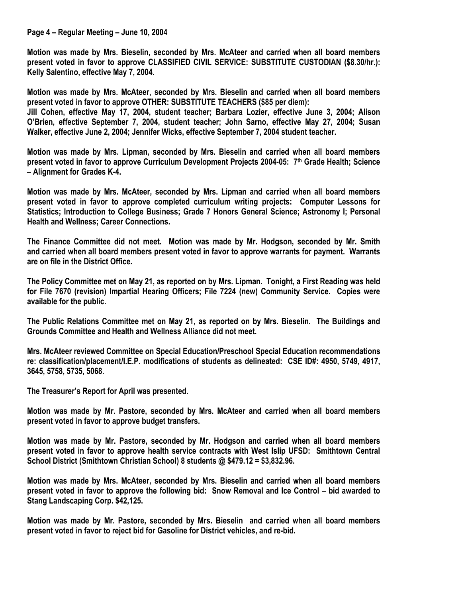#### **Page 4 – Regular Meeting – June 10, 2004**

**Motion was made by Mrs. Bieselin, seconded by Mrs. McAteer and carried when all board members present voted in favor to approve CLASSIFIED CIVIL SERVICE: SUBSTITUTE CUSTODIAN (\$8.30/hr.): Kelly Salentino, effective May 7, 2004.** 

**Motion was made by Mrs. McAteer, seconded by Mrs. Bieselin and carried when all board members present voted in favor to approve OTHER: SUBSTITUTE TEACHERS (\$85 per diem):** 

**Jill Cohen, effective May 17, 2004, student teacher; Barbara Lozier, effective June 3, 2004; Alison O'Brien, effective September 7, 2004, student teacher; John Sarno, effective May 27, 2004; Susan Walker, effective June 2, 2004; Jennifer Wicks, effective September 7, 2004 student teacher.** 

**Motion was made by Mrs. Lipman, seconded by Mrs. Bieselin and carried when all board members present voted in favor to approve Curriculum Development Projects 2004-05: 7th Grade Health; Science – Alignment for Grades K-4.** 

**Motion was made by Mrs. McAteer, seconded by Mrs. Lipman and carried when all board members present voted in favor to approve completed curriculum writing projects: Computer Lessons for Statistics; Introduction to College Business; Grade 7 Honors General Science; Astronomy I; Personal Health and Wellness; Career Connections.** 

**The Finance Committee did not meet. Motion was made by Mr. Hodgson, seconded by Mr. Smith and carried when all board members present voted in favor to approve warrants for payment. Warrants are on file in the District Office.** 

**The Policy Committee met on May 21, as reported on by Mrs. Lipman. Tonight, a First Reading was held for File 7670 (revision) Impartial Hearing Officers; File 7224 (new) Community Service. Copies were available for the public.** 

**The Public Relations Committee met on May 21, as reported on by Mrs. Bieselin. The Buildings and Grounds Committee and Health and Wellness Alliance did not meet.** 

**Mrs. McAteer reviewed Committee on Special Education/Preschool Special Education recommendations re: classification/placement/I.E.P. modifications of students as delineated: CSE ID#: 4950, 5749, 4917, 3645, 5758, 5735, 5068.** 

**The Treasurer's Report for April was presented.** 

**Motion was made by Mr. Pastore, seconded by Mrs. McAteer and carried when all board members present voted in favor to approve budget transfers.** 

**Motion was made by Mr. Pastore, seconded by Mr. Hodgson and carried when all board members present voted in favor to approve health service contracts with West Islip UFSD: Smithtown Central School District (Smithtown Christian School) 8 students @ \$479.12 = \$3,832.96.** 

**Motion was made by Mrs. McAteer, seconded by Mrs. Bieselin and carried when all board members present voted in favor to approve the following bid: Snow Removal and Ice Control – bid awarded to Stang Landscaping Corp. \$42,125.** 

**Motion was made by Mr. Pastore, seconded by Mrs. Bieselin and carried when all board members present voted in favor to reject bid for Gasoline for District vehicles, and re-bid.**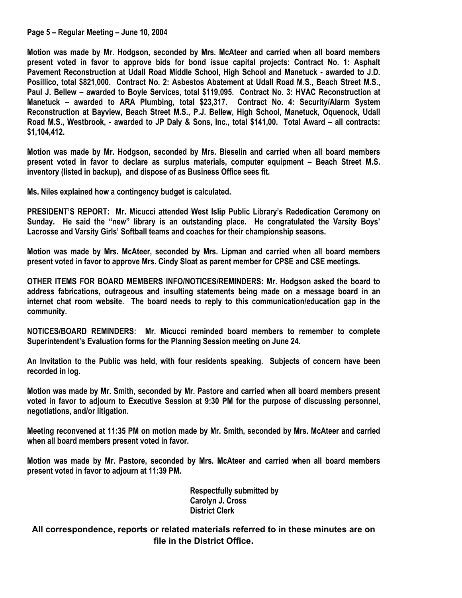### **Page 5 – Regular Meeting – June 10, 2004**

**Motion was made by Mr. Hodgson, seconded by Mrs. McAteer and carried when all board members present voted in favor to approve bids for bond issue capital projects: Contract No. 1: Asphalt Pavement Reconstruction at Udall Road Middle School, High School and Manetuck - awarded to J.D. Posillico, total \$821,000. Contract No. 2: Asbestos Abatement at Udall Road M.S., Beach Street M.S., Paul J. Bellew – awarded to Boyle Services, total \$119,095. Contract No. 3: HVAC Reconstruction at Manetuck – awarded to ARA Plumbing, total \$23,317. Contract No. 4: Security/Alarm System Reconstruction at Bayview, Beach Street M.S., P.J. Bellew, High School, Manetuck, Oquenock, Udall Road M.S., Westbrook, - awarded to JP Daly & Sons, Inc., total \$141,00. Total Award – all contracts: \$1,104,412.** 

**Motion was made by Mr. Hodgson, seconded by Mrs. Bieselin and carried when all board members present voted in favor to declare as surplus materials, computer equipment – Beach Street M.S. inventory (listed in backup), and dispose of as Business Office sees fit.** 

**Ms. Niles explained how a contingency budget is calculated.** 

**PRESIDENT'S REPORT: Mr. Micucci attended West Islip Public Library's Rededication Ceremony on Sunday. He said the "new" library is an outstanding place. He congratulated the Varsity Boys' Lacrosse and Varsity Girls' Softball teams and coaches for their championship seasons.** 

**Motion was made by Mrs. McAteer, seconded by Mrs. Lipman and carried when all board members present voted in favor to approve Mrs. Cindy Sloat as parent member for CPSE and CSE meetings.** 

**OTHER ITEMS FOR BOARD MEMBERS INFO/NOTICES/REMINDERS: Mr. Hodgson asked the board to address fabrications, outrageous and insulting statements being made on a message board in an internet chat room website. The board needs to reply to this communication/education gap in the community.** 

**NOTICES/BOARD REMINDERS: Mr. Micucci reminded board members to remember to complete Superintendent's Evaluation forms for the Planning Session meeting on June 24.** 

**An Invitation to the Public was held, with four residents speaking. Subjects of concern have been recorded in log.** 

**Motion was made by Mr. Smith, seconded by Mr. Pastore and carried when all board members present voted in favor to adjourn to Executive Session at 9:30 PM for the purpose of discussing personnel, negotiations, and/or litigation.** 

**Meeting reconvened at 11:35 PM on motion made by Mr. Smith, seconded by Mrs. McAteer and carried when all board members present voted in favor.** 

**Motion was made by Mr. Pastore, seconded by Mrs. McAteer and carried when all board members present voted in favor to adjourn at 11:39 PM.** 

> **Respectfully submitted by Carolyn J. Cross District Clerk**

**All correspondence, reports or related materials referred to in these minutes are on file in the District Office.**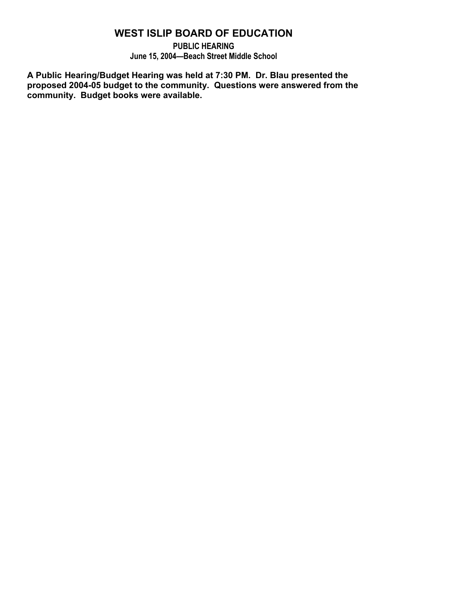# **WEST ISLIP BOARD OF EDUCATION**

**PUBLIC HEARING June 15, 2004—Beach Street Middle School** 

**A Public Hearing/Budget Hearing was held at 7:30 PM. Dr. Blau presented the proposed 2004-05 budget to the community. Questions were answered from the community. Budget books were available.**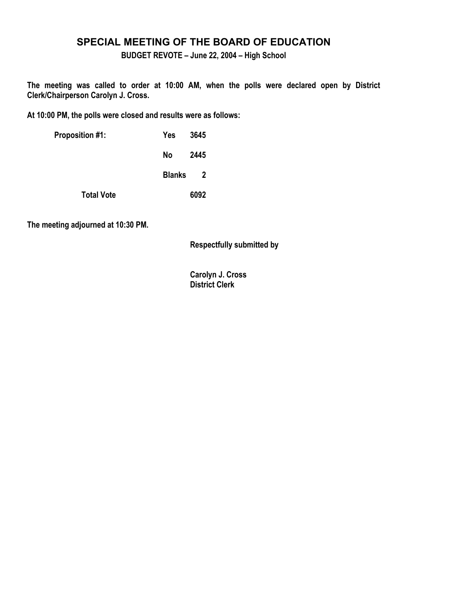## **SPECIAL MEETING OF THE BOARD OF EDUCATION**

**BUDGET REVOTE – June 22, 2004 – High School** 

**The meeting was called to order at 10:00 AM, when the polls were declared open by District Clerk/Chairperson Carolyn J. Cross.** 

**At 10:00 PM, the polls were closed and results were as follows:** 

| <b>Proposition #1:</b> | 3645<br>Yes                              |
|------------------------|------------------------------------------|
|                        | No l<br>2445                             |
|                        | <b>Blanks</b><br>$\overline{\mathbf{2}}$ |
| <b>Total Vote</b>      | 6092                                     |

**The meeting adjourned at 10:30 PM.** 

 **Respectfully submitted by** 

 **Carolyn J. Cross District Clerk**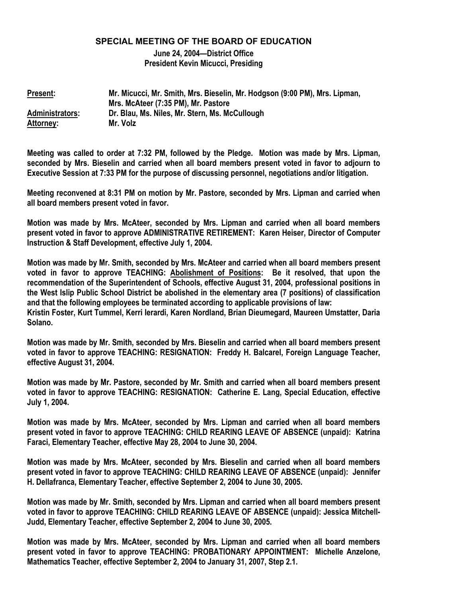### **SPECIAL MEETING OF THE BOARD OF EDUCATION**

**June 24, 2004—District Office President Kevin Micucci, Presiding** 

**Present: Mr. Micucci, Mr. Smith, Mrs. Bieselin, Mr. Hodgson (9:00 PM), Mrs. Lipman, Mrs. McAteer (7:35 PM), Mr. Pastore Administrators: Dr. Blau, Ms. Niles, Mr. Stern, Ms. McCullough Attorney: Mr. Volz** 

**Meeting was called to order at 7:32 PM, followed by the Pledge. Motion was made by Mrs. Lipman, seconded by Mrs. Bieselin and carried when all board members present voted in favor to adjourn to Executive Session at 7:33 PM for the purpose of discussing personnel, negotiations and/or litigation.** 

**Meeting reconvened at 8:31 PM on motion by Mr. Pastore, seconded by Mrs. Lipman and carried when all board members present voted in favor.** 

**Motion was made by Mrs. McAteer, seconded by Mrs. Lipman and carried when all board members present voted in favor to approve ADMINISTRATIVE RETIREMENT: Karen Heiser, Director of Computer Instruction & Staff Development, effective July 1, 2004.** 

**Motion was made by Mr. Smith, seconded by Mrs. McAteer and carried when all board members present voted in favor to approve TEACHING: Abolishment of Positions: Be it resolved, that upon the recommendation of the Superintendent of Schools, effective August 31, 2004, professional positions in the West Islip Public School District be abolished in the elementary area (7 positions) of classification and that the following employees be terminated according to applicable provisions of law: Kristin Foster, Kurt Tummel, Kerri Ierardi, Karen Nordland, Brian Dieumegard, Maureen Umstatter, Daria Solano.** 

**Motion was made by Mr. Smith, seconded by Mrs. Bieselin and carried when all board members present voted in favor to approve TEACHING: RESIGNATION: Freddy H. Balcarel, Foreign Language Teacher, effective August 31, 2004.** 

**Motion was made by Mr. Pastore, seconded by Mr. Smith and carried when all board members present voted in favor to approve TEACHING: RESIGNATION: Catherine E. Lang, Special Education, effective July 1, 2004.** 

**Motion was made by Mrs. McAteer, seconded by Mrs. Lipman and carried when all board members present voted in favor to approve TEACHING: CHILD REARING LEAVE OF ABSENCE (unpaid): Katrina Faraci, Elementary Teacher, effective May 28, 2004 to June 30, 2004.** 

**Motion was made by Mrs. McAteer, seconded by Mrs. Bieselin and carried when all board members present voted in favor to approve TEACHING: CHILD REARING LEAVE OF ABSENCE (unpaid): Jennifer H. Dellafranca, Elementary Teacher, effective September 2, 2004 to June 30, 2005.** 

**Motion was made by Mr. Smith, seconded by Mrs. Lipman and carried when all board members present voted in favor to approve TEACHING: CHILD REARING LEAVE OF ABSENCE (unpaid): Jessica Mitchell-Judd, Elementary Teacher, effective September 2, 2004 to June 30, 2005.** 

**Motion was made by Mrs. McAteer, seconded by Mrs. Lipman and carried when all board members present voted in favor to approve TEACHING: PROBATIONARY APPOINTMENT: Michelle Anzelone, Mathematics Teacher, effective September 2, 2004 to January 31, 2007, Step 2.1.**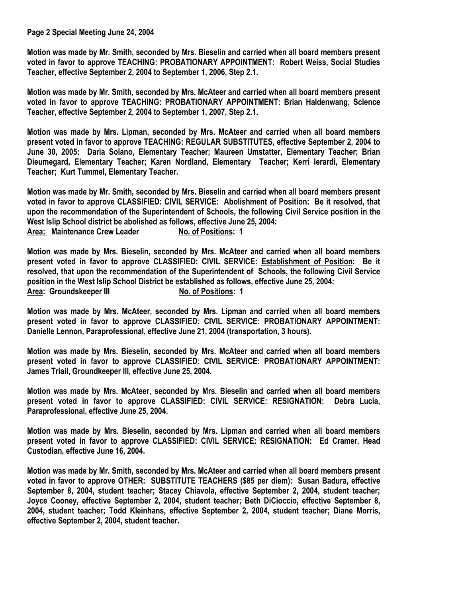**Page 2 Special Meeting June 24, 2004** 

**Motion was made by Mr. Smith, seconded by Mrs. Bieselin and carried when all board members present voted in favor to approve TEACHING: PROBATIONARY APPOINTMENT: Robert Weiss, Social Studies Teacher, effective September 2, 2004 to September 1, 2006, Step 2.1.** 

**Motion was made by Mr. Smith, seconded by Mrs. McAteer and carried when all board members present voted in favor to approve TEACHING: PROBATIONARY APPOINTMENT: Brian Haldenwang, Science Teacher, effective September 2, 2004 to September 1, 2007, Step 2.1.** 

**Motion was made by Mrs. Lipman, seconded by Mrs. McAteer and carried when all board members present voted in favor to approve TEACHING: REGULAR SUBSTITUTES, effective September 2, 2004 to June 30, 2005: Daria Solano, Elementary Teacher; Maureen Umstatter, Elementary Teacher; Brian Dieumegard, Elementary Teacher; Karen Nordland, Elementary Teacher; Kerri Ierardi, Elementary Teacher; Kurt Tummel, Elementary Teacher.** 

**Motion was made by Mr. Smith, seconded by Mrs. Bieselin and carried when all board members present voted in favor to approve CLASSIFIED: CIVIL SERVICE: Abolishment of Position: Be it resolved, that upon the recommendation of the Superintendent of Schools, the following Civil Service position in the West Islip School district be abolished as follows, effective June 25, 2004:**  Area: Maintenance Crew Leader No. of Positions: 1

**Motion was made by Mrs. Bieselin, seconded by Mrs. McAteer and carried when all board members present voted in favor to approve CLASSIFIED: CIVIL SERVICE: Establishment of Position: Be it resolved, that upon the recommendation of the Superintendent of Schools, the following Civil Service position in the West Islip School District be established as follows, effective June 25, 2004:**  Area: Groundskeeper III **No. of Positions: 1** 

**Motion was made by Mrs. McAteer, seconded by Mrs. Lipman and carried when all board members present voted in favor to approve CLASSIFIED: CIVIL SERVICE: PROBATIONARY APPOINTMENT: Danielle Lennon, Paraprofessional, effective June 21, 2004 (transportation, 3 hours).** 

**Motion was made by Mrs. Bieselin, seconded by Mrs. McAteer and carried when all board members present voted in favor to approve CLASSIFIED: CIVIL SERVICE: PROBATIONARY APPOINTMENT: James Triail, Groundkeeper III, effective June 25, 2004.** 

**Motion was made by Mrs. McAteer, seconded by Mrs. Bieselin and carried when all board members present voted in favor to approve CLASSIFIED: CIVIL SERVICE: RESIGNATION: Debra Lucia, Paraprofessional, effective June 25, 2004.** 

**Motion was made by Mrs. Bieselin, seconded by Mrs. Lipman and carried when all board members present voted in favor to approve CLASSIFIED: CIVIL SERVICE: RESIGNATION: Ed Cramer, Head Custodian, effective June 16, 2004.** 

**Motion was made by Mr. Smith, seconded by Mrs. McAteer and carried when all board members present voted in favor to approve OTHER: SUBSTITUTE TEACHERS (\$85 per diem): Susan Badura, effective September 8, 2004, student teacher; Stacey Chiavola, effective September 2, 2004, student teacher; Joyce Cooney, effective September 2, 2004, student teacher; Beth DiCioccio, effective September 8, 2004, student teacher; Todd Kleinhans, effective September 2, 2004, student teacher; Diane Morris, effective September 2, 2004, student teacher.**